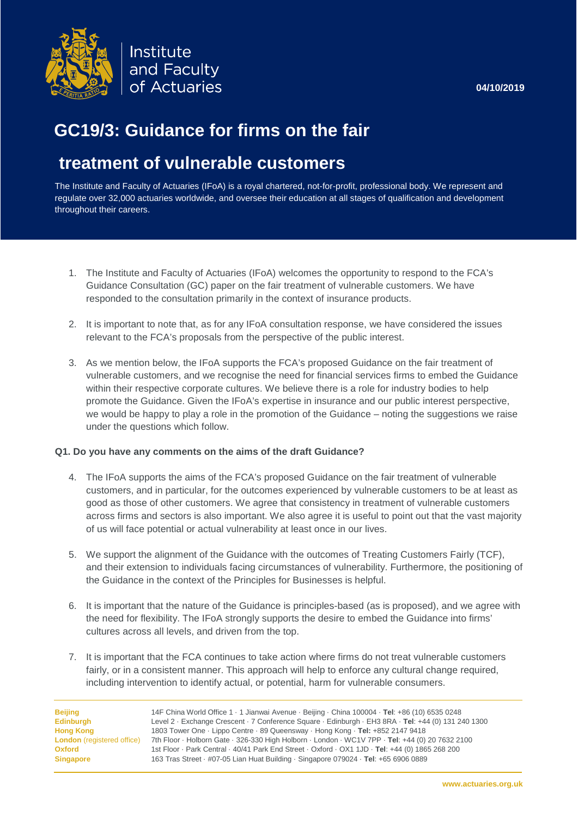

# **GC19/3: Guidance for firms on the fair**

# **treatment of vulnerable customers**

The Institute and Faculty of Actuaries (IFoA) is a royal chartered, not-for-profit, professional body. We represent and regulate over 32,000 actuaries worldwide, and oversee their education at all stages of qualification and development throughout their careers.

- 1. The Institute and Faculty of Actuaries (IFoA) welcomes the opportunity to respond to the FCA's Guidance Consultation (GC) paper on the fair treatment of vulnerable customers. We have responded to the consultation primarily in the context of insurance products.
- 2. It is important to note that, as for any IFoA consultation response, we have considered the issues relevant to the FCA's proposals from the perspective of the public interest.
- 3. As we mention below, the IFoA supports the FCA's proposed Guidance on the fair treatment of vulnerable customers, and we recognise the need for financial services firms to embed the Guidance within their respective corporate cultures. We believe there is a role for industry bodies to help promote the Guidance. Given the IFoA's expertise in insurance and our public interest perspective, we would be happy to play a role in the promotion of the Guidance – noting the suggestions we raise under the questions which follow.

#### **Q1. Do you have any comments on the aims of the draft Guidance?**

- 4. The IFoA supports the aims of the FCA's proposed Guidance on the fair treatment of vulnerable customers, and in particular, for the outcomes experienced by vulnerable customers to be at least as good as those of other customers. We agree that consistency in treatment of vulnerable customers across firms and sectors is also important. We also agree it is useful to point out that the vast majority of us will face potential or actual vulnerability at least once in our lives.
- 5. We support the alignment of the Guidance with the outcomes of Treating Customers Fairly (TCF), and their extension to individuals facing circumstances of vulnerability. Furthermore, the positioning of the Guidance in the context of the Principles for Businesses is helpful.
- 6. It is important that the nature of the Guidance is principles-based (as is proposed), and we agree with the need for flexibility. The IFoA strongly supports the desire to embed the Guidance into firms' cultures across all levels, and driven from the top.
- 7. It is important that the FCA continues to take action where firms do not treat vulnerable customers fairly, or in a consistent manner. This approach will help to enforce any cultural change required, including intervention to identify actual, or potential, harm for vulnerable consumers.

**Beijing** 14F China World Office 1 · 1 Jianwai Avenue · Beijing · China 100004 · **Tel**: +86 (10) 6535 0248 **Edinburgh** Level 2 · Exchange Crescent · 7 Conference Square · Edinburgh · EH3 8RA · **Tel**: +44 (0) 131 240 1300 **Hong Kong** 1803 Tower One · Lippo Centre · 89 Queensway · Hong Kong · **Tel:** +852 2147 9418 **London** (registered office) 7th Floor · Holborn Gate · 326-330 High Holborn · London · WC1V 7PP · **Tel**: +44 (0) 20 7632 2100 **Oxford** 1st Floor · Park Central · 40/41 Park End Street · Oxford · OX1 1JD · **Tel**: +44 (0) 1865 268 200 **Singapore** 163 Tras Street · #07-05 Lian Huat Building · Singapore 079024 · **Tel**: +65 6906 0889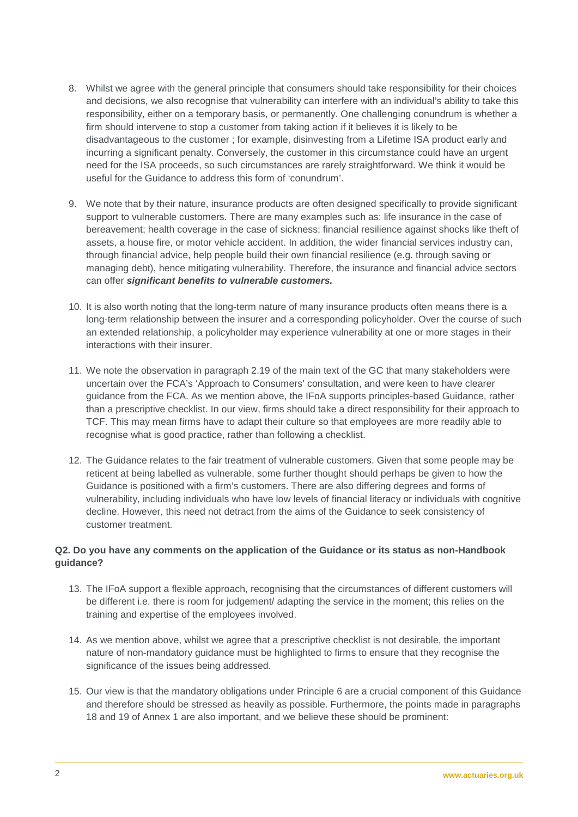- 8. Whilst we agree with the general principle that consumers should take responsibility for their choices and decisions, we also recognise that vulnerability can interfere with an individual's ability to take this responsibility, either on a temporary basis, or permanently. One challenging conundrum is whether a firm should intervene to stop a customer from taking action if it believes it is likely to be disadvantageous to the customer ; for example, disinvesting from a Lifetime ISA product early and incurring a significant penalty. Conversely, the customer in this circumstance could have an urgent need for the ISA proceeds, so such circumstances are rarely straightforward. We think it would be useful for the Guidance to address this form of 'conundrum'.
- 9. We note that by their nature, insurance products are often designed specifically to provide significant support to vulnerable customers. There are many examples such as: life insurance in the case of bereavement; health coverage in the case of sickness; financial resilience against shocks like theft of assets, a house fire, or motor vehicle accident. In addition, the wider financial services industry can, through financial advice, help people build their own financial resilience (e.g. through saving or managing debt), hence mitigating vulnerability. Therefore, the insurance and financial advice sectors can offer *significant benefits to vulnerable customers.*
- 10. It is also worth noting that the long-term nature of many insurance products often means there is a long-term relationship between the insurer and a corresponding policyholder. Over the course of such an extended relationship, a policyholder may experience vulnerability at one or more stages in their interactions with their insurer.
- 11. We note the observation in paragraph 2.19 of the main text of the GC that many stakeholders were uncertain over the FCA's 'Approach to Consumers' consultation, and were keen to have clearer guidance from the FCA. As we mention above, the IFoA supports principles-based Guidance, rather than a prescriptive checklist. In our view, firms should take a direct responsibility for their approach to TCF. This may mean firms have to adapt their culture so that employees are more readily able to recognise what is good practice, rather than following a checklist.
- 12. The Guidance relates to the fair treatment of vulnerable customers. Given that some people may be reticent at being labelled as vulnerable, some further thought should perhaps be given to how the Guidance is positioned with a firm's customers. There are also differing degrees and forms of vulnerability, including individuals who have low levels of financial literacy or individuals with cognitive decline. However, this need not detract from the aims of the Guidance to seek consistency of customer treatment.

## **Q2. Do you have any comments on the application of the Guidance or its status as non-Handbook guidance?**

- 13. The IFoA support a flexible approach, recognising that the circumstances of different customers will be different i.e. there is room for judgement/ adapting the service in the moment; this relies on the training and expertise of the employees involved.
- 14. As we mention above, whilst we agree that a prescriptive checklist is not desirable, the important nature of non-mandatory guidance must be highlighted to firms to ensure that they recognise the significance of the issues being addressed.
- 15. Our view is that the mandatory obligations under Principle 6 are a crucial component of this Guidance and therefore should be stressed as heavily as possible. Furthermore, the points made in paragraphs 18 and 19 of Annex 1 are also important, and we believe these should be prominent: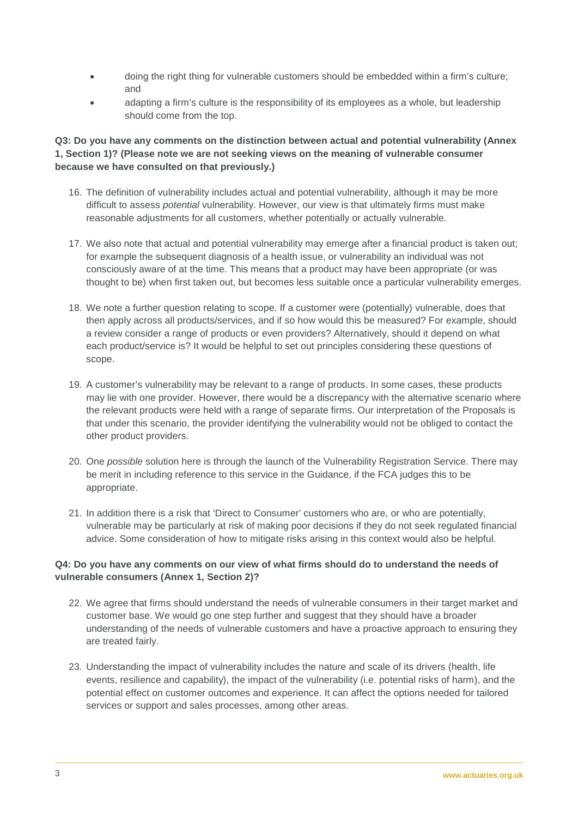- doing the right thing for vulnerable customers should be embedded within a firm's culture; and
- adapting a firm's culture is the responsibility of its employees as a whole, but leadership should come from the top.

#### **Q3: Do you have any comments on the distinction between actual and potential vulnerability (Annex 1, Section 1)? (Please note we are not seeking views on the meaning of vulnerable consumer because we have consulted on that previously.)**

- 16. The definition of vulnerability includes actual and potential vulnerability, although it may be more difficult to assess *potential* vulnerability. However, our view is that ultimately firms must make reasonable adjustments for all customers, whether potentially or actually vulnerable.
- 17. We also note that actual and potential vulnerability may emerge after a financial product is taken out; for example the subsequent diagnosis of a health issue, or vulnerability an individual was not consciously aware of at the time. This means that a product may have been appropriate (or was thought to be) when first taken out, but becomes less suitable once a particular vulnerability emerges.
- 18. We note a further question relating to scope. If a customer were (potentially) vulnerable, does that then apply across all products/services, and if so how would this be measured? For example, should a review consider a range of products or even providers? Alternatively, should it depend on what each product/service is? It would be helpful to set out principles considering these questions of scope.
- 19. A customer's vulnerability may be relevant to a range of products. In some cases, these products may lie with one provider. However, there would be a discrepancy with the alternative scenario where the relevant products were held with a range of separate firms. Our interpretation of the Proposals is that under this scenario, the provider identifying the vulnerability would not be obliged to contact the other product providers.
- 20. One *possible* solution here is through the launch of the Vulnerability Registration Service. There may be merit in including reference to this service in the Guidance, if the FCA judges this to be appropriate.
- 21. In addition there is a risk that 'Direct to Consumer' customers who are, or who are potentially, vulnerable may be particularly at risk of making poor decisions if they do not seek regulated financial advice. Some consideration of how to mitigate risks arising in this context would also be helpful.

## **Q4: Do you have any comments on our view of what firms should do to understand the needs of vulnerable consumers (Annex 1, Section 2)?**

- 22. We agree that firms should understand the needs of vulnerable consumers in their target market and customer base. We would go one step further and suggest that they should have a broader understanding of the needs of vulnerable customers and have a proactive approach to ensuring they are treated fairly.
- 23. Understanding the impact of vulnerability includes the nature and scale of its drivers (health, life events, resilience and capability), the impact of the vulnerability (i.e. potential risks of harm), and the potential effect on customer outcomes and experience. It can affect the options needed for tailored services or support and sales processes, among other areas.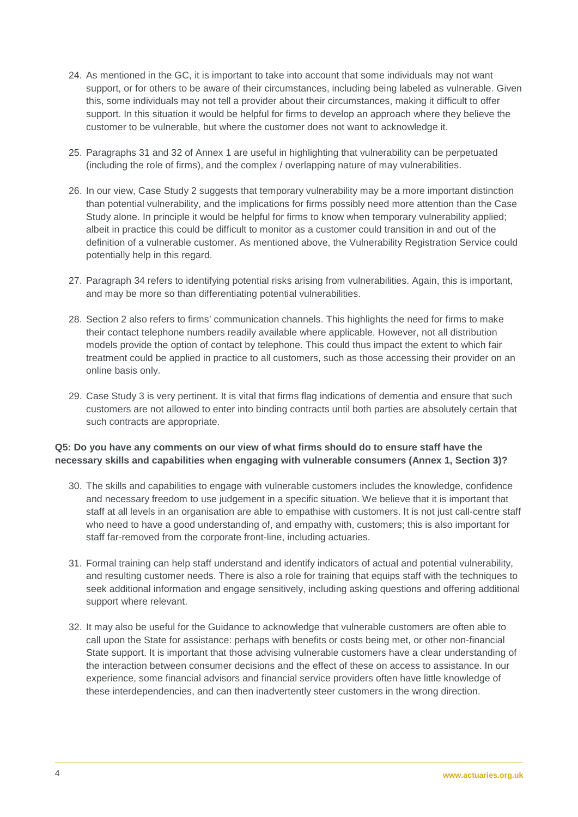- 24. As mentioned in the GC, it is important to take into account that some individuals may not want support, or for others to be aware of their circumstances, including being labeled as vulnerable. Given this, some individuals may not tell a provider about their circumstances, making it difficult to offer support. In this situation it would be helpful for firms to develop an approach where they believe the customer to be vulnerable, but where the customer does not want to acknowledge it.
- 25. Paragraphs 31 and 32 of Annex 1 are useful in highlighting that vulnerability can be perpetuated (including the role of firms), and the complex / overlapping nature of may vulnerabilities.
- 26. In our view, Case Study 2 suggests that temporary vulnerability may be a more important distinction than potential vulnerability, and the implications for firms possibly need more attention than the Case Study alone. In principle it would be helpful for firms to know when temporary vulnerability applied; albeit in practice this could be difficult to monitor as a customer could transition in and out of the definition of a vulnerable customer. As mentioned above, the Vulnerability Registration Service could potentially help in this regard.
- 27. Paragraph 34 refers to identifying potential risks arising from vulnerabilities. Again, this is important, and may be more so than differentiating potential vulnerabilities.
- 28. Section 2 also refers to firms' communication channels. This highlights the need for firms to make their contact telephone numbers readily available where applicable. However, not all distribution models provide the option of contact by telephone. This could thus impact the extent to which fair treatment could be applied in practice to all customers, such as those accessing their provider on an online basis only.
- 29. Case Study 3 is very pertinent. It is vital that firms flag indications of dementia and ensure that such customers are not allowed to enter into binding contracts until both parties are absolutely certain that such contracts are appropriate.

#### **Q5: Do you have any comments on our view of what firms should do to ensure staff have the necessary skills and capabilities when engaging with vulnerable consumers (Annex 1, Section 3)?**

- 30. The skills and capabilities to engage with vulnerable customers includes the knowledge, confidence and necessary freedom to use judgement in a specific situation. We believe that it is important that staff at all levels in an organisation are able to empathise with customers. It is not just call-centre staff who need to have a good understanding of, and empathy with, customers; this is also important for staff far-removed from the corporate front-line, including actuaries.
- 31. Formal training can help staff understand and identify indicators of actual and potential vulnerability, and resulting customer needs. There is also a role for training that equips staff with the techniques to seek additional information and engage sensitively, including asking questions and offering additional support where relevant.
- 32. It may also be useful for the Guidance to acknowledge that vulnerable customers are often able to call upon the State for assistance: perhaps with benefits or costs being met, or other non-financial State support. It is important that those advising vulnerable customers have a clear understanding of the interaction between consumer decisions and the effect of these on access to assistance. In our experience, some financial advisors and financial service providers often have little knowledge of these interdependencies, and can then inadvertently steer customers in the wrong direction.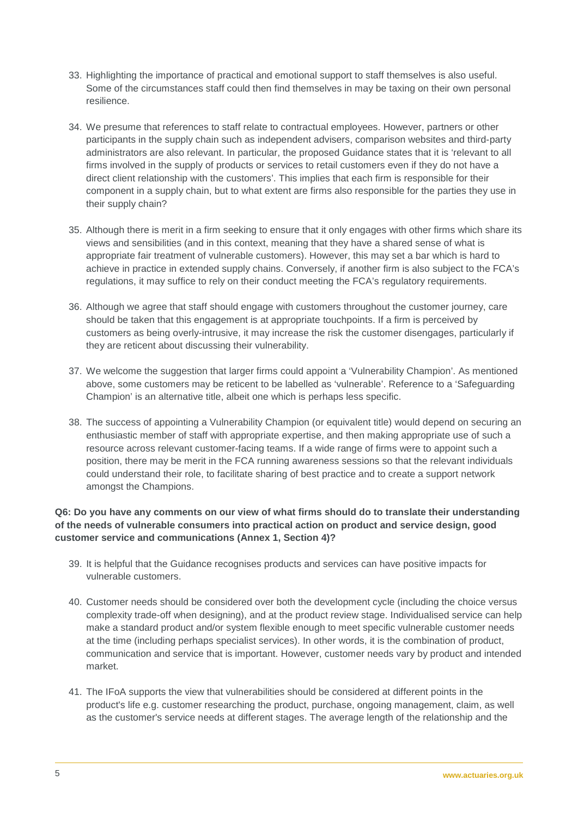- 33. Highlighting the importance of practical and emotional support to staff themselves is also useful. Some of the circumstances staff could then find themselves in may be taxing on their own personal resilience.
- 34. We presume that references to staff relate to contractual employees. However, partners or other participants in the supply chain such as independent advisers, comparison websites and third-party administrators are also relevant. In particular, the proposed Guidance states that it is 'relevant to all firms involved in the supply of products or services to retail customers even if they do not have a direct client relationship with the customers'. This implies that each firm is responsible for their component in a supply chain, but to what extent are firms also responsible for the parties they use in their supply chain?
- 35. Although there is merit in a firm seeking to ensure that it only engages with other firms which share its views and sensibilities (and in this context, meaning that they have a shared sense of what is appropriate fair treatment of vulnerable customers). However, this may set a bar which is hard to achieve in practice in extended supply chains. Conversely, if another firm is also subject to the FCA's regulations, it may suffice to rely on their conduct meeting the FCA's regulatory requirements.
- 36. Although we agree that staff should engage with customers throughout the customer journey, care should be taken that this engagement is at appropriate touchpoints. If a firm is perceived by customers as being overly-intrusive, it may increase the risk the customer disengages, particularly if they are reticent about discussing their vulnerability.
- 37. We welcome the suggestion that larger firms could appoint a 'Vulnerability Champion'. As mentioned above, some customers may be reticent to be labelled as 'vulnerable'. Reference to a 'Safeguarding Champion' is an alternative title, albeit one which is perhaps less specific.
- 38. The success of appointing a Vulnerability Champion (or equivalent title) would depend on securing an enthusiastic member of staff with appropriate expertise, and then making appropriate use of such a resource across relevant customer-facing teams. If a wide range of firms were to appoint such a position, there may be merit in the FCA running awareness sessions so that the relevant individuals could understand their role, to facilitate sharing of best practice and to create a support network amongst the Champions.

## **Q6: Do you have any comments on our view of what firms should do to translate their understanding of the needs of vulnerable consumers into practical action on product and service design, good customer service and communications (Annex 1, Section 4)?**

- 39. It is helpful that the Guidance recognises products and services can have positive impacts for vulnerable customers.
- 40. Customer needs should be considered over both the development cycle (including the choice versus complexity trade-off when designing), and at the product review stage. Individualised service can help make a standard product and/or system flexible enough to meet specific vulnerable customer needs at the time (including perhaps specialist services). In other words, it is the combination of product, communication and service that is important. However, customer needs vary by product and intended market.
- 41. The IFoA supports the view that vulnerabilities should be considered at different points in the product's life e.g. customer researching the product, purchase, ongoing management, claim, as well as the customer's service needs at different stages. The average length of the relationship and the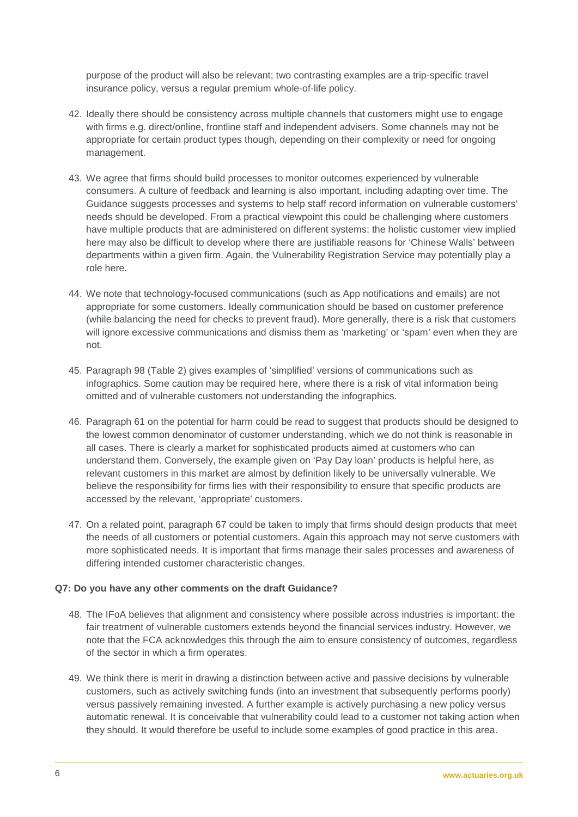purpose of the product will also be relevant; two contrasting examples are a trip-specific travel insurance policy, versus a regular premium whole-of-life policy.

- 42. Ideally there should be consistency across multiple channels that customers might use to engage with firms e.g. direct/online, frontline staff and independent advisers. Some channels may not be appropriate for certain product types though, depending on their complexity or need for ongoing management.
- 43. We agree that firms should build processes to monitor outcomes experienced by vulnerable consumers. A culture of feedback and learning is also important, including adapting over time. The Guidance suggests processes and systems to help staff record information on vulnerable customers' needs should be developed. From a practical viewpoint this could be challenging where customers have multiple products that are administered on different systems; the holistic customer view implied here may also be difficult to develop where there are justifiable reasons for 'Chinese Walls' between departments within a given firm. Again, the Vulnerability Registration Service may potentially play a role here.
- 44. We note that technology-focused communications (such as App notifications and emails) are not appropriate for some customers. Ideally communication should be based on customer preference (while balancing the need for checks to prevent fraud). More generally, there is a risk that customers will ignore excessive communications and dismiss them as 'marketing' or 'spam' even when they are not.
- 45. Paragraph 98 (Table 2) gives examples of 'simplified' versions of communications such as infographics. Some caution may be required here, where there is a risk of vital information being omitted and of vulnerable customers not understanding the infographics.
- 46. Paragraph 61 on the potential for harm could be read to suggest that products should be designed to the lowest common denominator of customer understanding, which we do not think is reasonable in all cases. There is clearly a market for sophisticated products aimed at customers who can understand them. Conversely, the example given on 'Pay Day loan' products is helpful here, as relevant customers in this market are almost by definition likely to be universally vulnerable. We believe the responsibility for firms lies with their responsibility to ensure that specific products are accessed by the relevant, 'appropriate' customers.
- 47. On a related point, paragraph 67 could be taken to imply that firms should design products that meet the needs of all customers or potential customers. Again this approach may not serve customers with more sophisticated needs. It is important that firms manage their sales processes and awareness of differing intended customer characteristic changes.

#### **Q7: Do you have any other comments on the draft Guidance?**

- 48. The IFoA believes that alignment and consistency where possible across industries is important: the fair treatment of vulnerable customers extends beyond the financial services industry. However, we note that the FCA acknowledges this through the aim to ensure consistency of outcomes, regardless of the sector in which a firm operates.
- 49. We think there is merit in drawing a distinction between active and passive decisions by vulnerable customers, such as actively switching funds (into an investment that subsequently performs poorly) versus passively remaining invested. A further example is actively purchasing a new policy versus automatic renewal. It is conceivable that vulnerability could lead to a customer not taking action when they should. It would therefore be useful to include some examples of good practice in this area.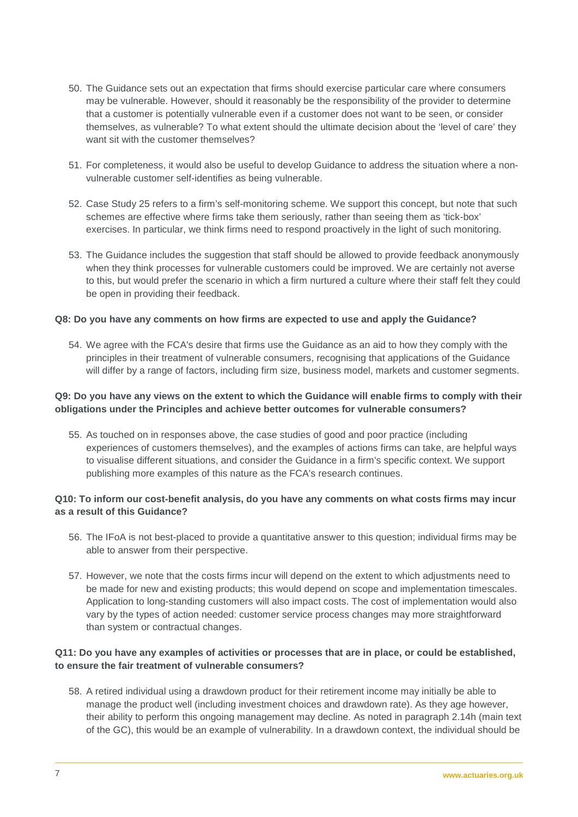- 50. The Guidance sets out an expectation that firms should exercise particular care where consumers may be vulnerable. However, should it reasonably be the responsibility of the provider to determine that a customer is potentially vulnerable even if a customer does not want to be seen, or consider themselves, as vulnerable? To what extent should the ultimate decision about the 'level of care' they want sit with the customer themselves?
- 51. For completeness, it would also be useful to develop Guidance to address the situation where a nonvulnerable customer self-identifies as being vulnerable.
- 52. Case Study 25 refers to a firm's self-monitoring scheme. We support this concept, but note that such schemes are effective where firms take them seriously, rather than seeing them as 'tick-box' exercises. In particular, we think firms need to respond proactively in the light of such monitoring.
- 53. The Guidance includes the suggestion that staff should be allowed to provide feedback anonymously when they think processes for vulnerable customers could be improved. We are certainly not averse to this, but would prefer the scenario in which a firm nurtured a culture where their staff felt they could be open in providing their feedback.

#### **Q8: Do you have any comments on how firms are expected to use and apply the Guidance?**

54. We agree with the FCA's desire that firms use the Guidance as an aid to how they comply with the principles in their treatment of vulnerable consumers, recognising that applications of the Guidance will differ by a range of factors, including firm size, business model, markets and customer segments.

#### **Q9: Do you have any views on the extent to which the Guidance will enable firms to comply with their obligations under the Principles and achieve better outcomes for vulnerable consumers?**

55. As touched on in responses above, the case studies of good and poor practice (including experiences of customers themselves), and the examples of actions firms can take, are helpful ways to visualise different situations, and consider the Guidance in a firm's specific context. We support publishing more examples of this nature as the FCA's research continues.

#### **Q10: To inform our cost-benefit analysis, do you have any comments on what costs firms may incur as a result of this Guidance?**

- 56. The IFoA is not best-placed to provide a quantitative answer to this question; individual firms may be able to answer from their perspective.
- 57. However, we note that the costs firms incur will depend on the extent to which adjustments need to be made for new and existing products; this would depend on scope and implementation timescales. Application to long-standing customers will also impact costs. The cost of implementation would also vary by the types of action needed: customer service process changes may more straightforward than system or contractual changes.

#### **Q11: Do you have any examples of activities or processes that are in place, or could be established, to ensure the fair treatment of vulnerable consumers?**

58. A retired individual using a drawdown product for their retirement income may initially be able to manage the product well (including investment choices and drawdown rate). As they age however, their ability to perform this ongoing management may decline. As noted in paragraph 2.14h (main text of the GC), this would be an example of vulnerability. In a drawdown context, the individual should be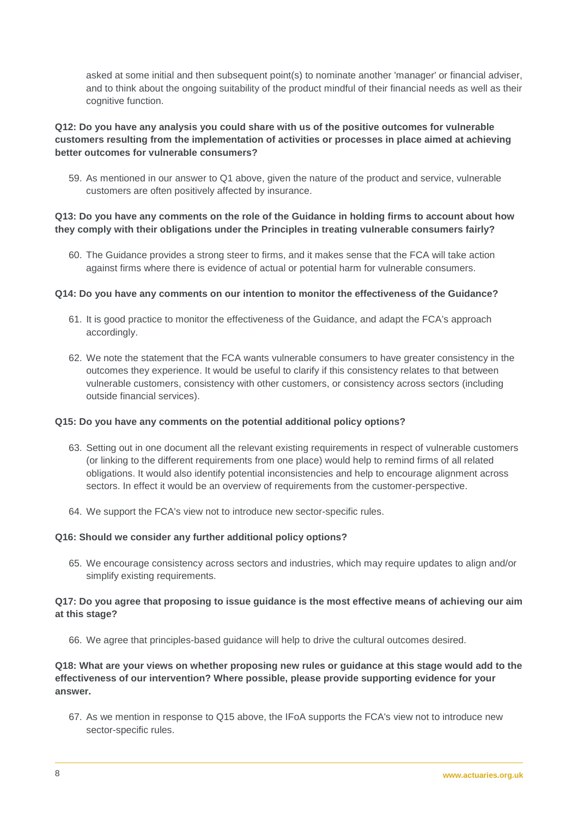asked at some initial and then subsequent point(s) to nominate another 'manager' or financial adviser, and to think about the ongoing suitability of the product mindful of their financial needs as well as their cognitive function.

#### **Q12: Do you have any analysis you could share with us of the positive outcomes for vulnerable customers resulting from the implementation of activities or processes in place aimed at achieving better outcomes for vulnerable consumers?**

59. As mentioned in our answer to Q1 above, given the nature of the product and service, vulnerable customers are often positively affected by insurance.

#### **Q13: Do you have any comments on the role of the Guidance in holding firms to account about how they comply with their obligations under the Principles in treating vulnerable consumers fairly?**

60. The Guidance provides a strong steer to firms, and it makes sense that the FCA will take action against firms where there is evidence of actual or potential harm for vulnerable consumers.

#### **Q14: Do you have any comments on our intention to monitor the effectiveness of the Guidance?**

- 61. It is good practice to monitor the effectiveness of the Guidance, and adapt the FCA's approach accordingly.
- 62. We note the statement that the FCA wants vulnerable consumers to have greater consistency in the outcomes they experience. It would be useful to clarify if this consistency relates to that between vulnerable customers, consistency with other customers, or consistency across sectors (including outside financial services).

#### **Q15: Do you have any comments on the potential additional policy options?**

- 63. Setting out in one document all the relevant existing requirements in respect of vulnerable customers (or linking to the different requirements from one place) would help to remind firms of all related obligations. It would also identify potential inconsistencies and help to encourage alignment across sectors. In effect it would be an overview of requirements from the customer-perspective.
- 64. We support the FCA's view not to introduce new sector-specific rules.

#### **Q16: Should we consider any further additional policy options?**

65. We encourage consistency across sectors and industries, which may require updates to align and/or simplify existing requirements.

#### **Q17: Do you agree that proposing to issue guidance is the most effective means of achieving our aim at this stage?**

66. We agree that principles-based guidance will help to drive the cultural outcomes desired.

#### **Q18: What are your views on whether proposing new rules or guidance at this stage would add to the effectiveness of our intervention? Where possible, please provide supporting evidence for your answer.**

67. As we mention in response to Q15 above, the IFoA supports the FCA's view not to introduce new sector-specific rules.